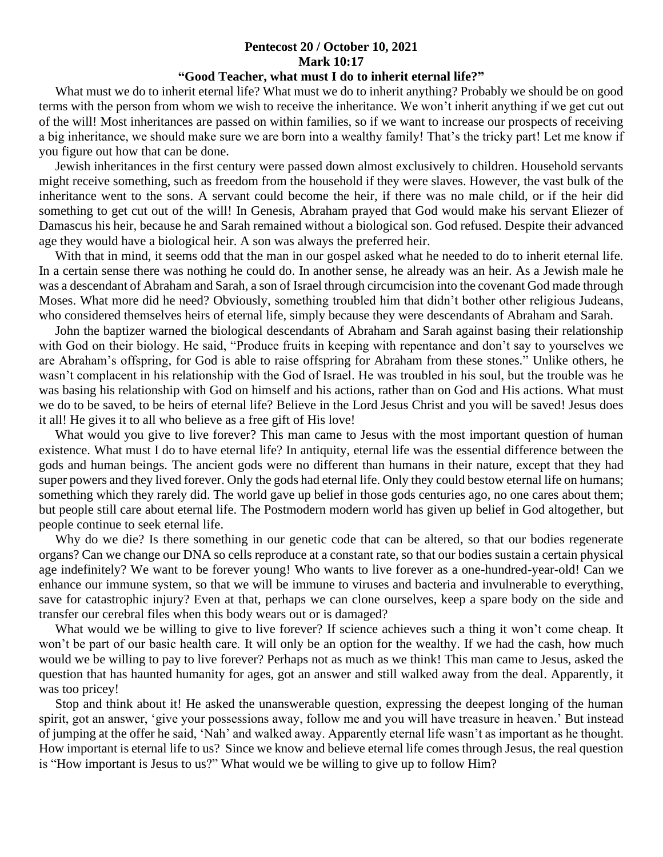## **Pentecost 20 / October 10, 2021 Mark 10:17**

## **"Good Teacher, what must I do to inherit eternal life?"**

 What must we do to inherit eternal life? What must we do to inherit anything? Probably we should be on good terms with the person from whom we wish to receive the inheritance. We won't inherit anything if we get cut out of the will! Most inheritances are passed on within families, so if we want to increase our prospects of receiving a big inheritance, we should make sure we are born into a wealthy family! That's the tricky part! Let me know if you figure out how that can be done.

 Jewish inheritances in the first century were passed down almost exclusively to children. Household servants might receive something, such as freedom from the household if they were slaves. However, the vast bulk of the inheritance went to the sons. A servant could become the heir, if there was no male child, or if the heir did something to get cut out of the will! In Genesis, Abraham prayed that God would make his servant Eliezer of Damascus his heir, because he and Sarah remained without a biological son. God refused. Despite their advanced age they would have a biological heir. A son was always the preferred heir.

With that in mind, it seems odd that the man in our gospel asked what he needed to do to inherit eternal life. In a certain sense there was nothing he could do. In another sense, he already was an heir. As a Jewish male he was a descendant of Abraham and Sarah, a son of Israel through circumcision into the covenant God made through Moses. What more did he need? Obviously, something troubled him that didn't bother other religious Judeans, who considered themselves heirs of eternal life, simply because they were descendants of Abraham and Sarah.

 John the baptizer warned the biological descendants of Abraham and Sarah against basing their relationship with God on their biology. He said, "Produce fruits in keeping with repentance and don't say to yourselves we are Abraham's offspring, for God is able to raise offspring for Abraham from these stones." Unlike others, he wasn't complacent in his relationship with the God of Israel. He was troubled in his soul, but the trouble was he was basing his relationship with God on himself and his actions, rather than on God and His actions. What must we do to be saved, to be heirs of eternal life? Believe in the Lord Jesus Christ and you will be saved! Jesus does it all! He gives it to all who believe as a free gift of His love!

What would you give to live forever? This man came to Jesus with the most important question of human existence. What must I do to have eternal life? In antiquity, eternal life was the essential difference between the gods and human beings. The ancient gods were no different than humans in their nature, except that they had super powers and they lived forever. Only the gods had eternal life. Only they could bestow eternal life on humans; something which they rarely did. The world gave up belief in those gods centuries ago, no one cares about them; but people still care about eternal life. The Postmodern modern world has given up belief in God altogether, but people continue to seek eternal life.

 Why do we die? Is there something in our genetic code that can be altered, so that our bodies regenerate organs? Can we change our DNA so cells reproduce at a constant rate, so that our bodies sustain a certain physical age indefinitely? We want to be forever young! Who wants to live forever as a one-hundred-year-old! Can we enhance our immune system, so that we will be immune to viruses and bacteria and invulnerable to everything, save for catastrophic injury? Even at that, perhaps we can clone ourselves, keep a spare body on the side and transfer our cerebral files when this body wears out or is damaged?

What would we be willing to give to live forever? If science achieves such a thing it won't come cheap. It won't be part of our basic health care. It will only be an option for the wealthy. If we had the cash, how much would we be willing to pay to live forever? Perhaps not as much as we think! This man came to Jesus, asked the question that has haunted humanity for ages, got an answer and still walked away from the deal. Apparently, it was too pricey!

 Stop and think about it! He asked the unanswerable question, expressing the deepest longing of the human spirit, got an answer, 'give your possessions away, follow me and you will have treasure in heaven.' But instead of jumping at the offer he said, 'Nah' and walked away. Apparently eternal life wasn't as important as he thought. How important is eternal life to us? Since we know and believe eternal life comes through Jesus, the real question is "How important is Jesus to us?" What would we be willing to give up to follow Him?